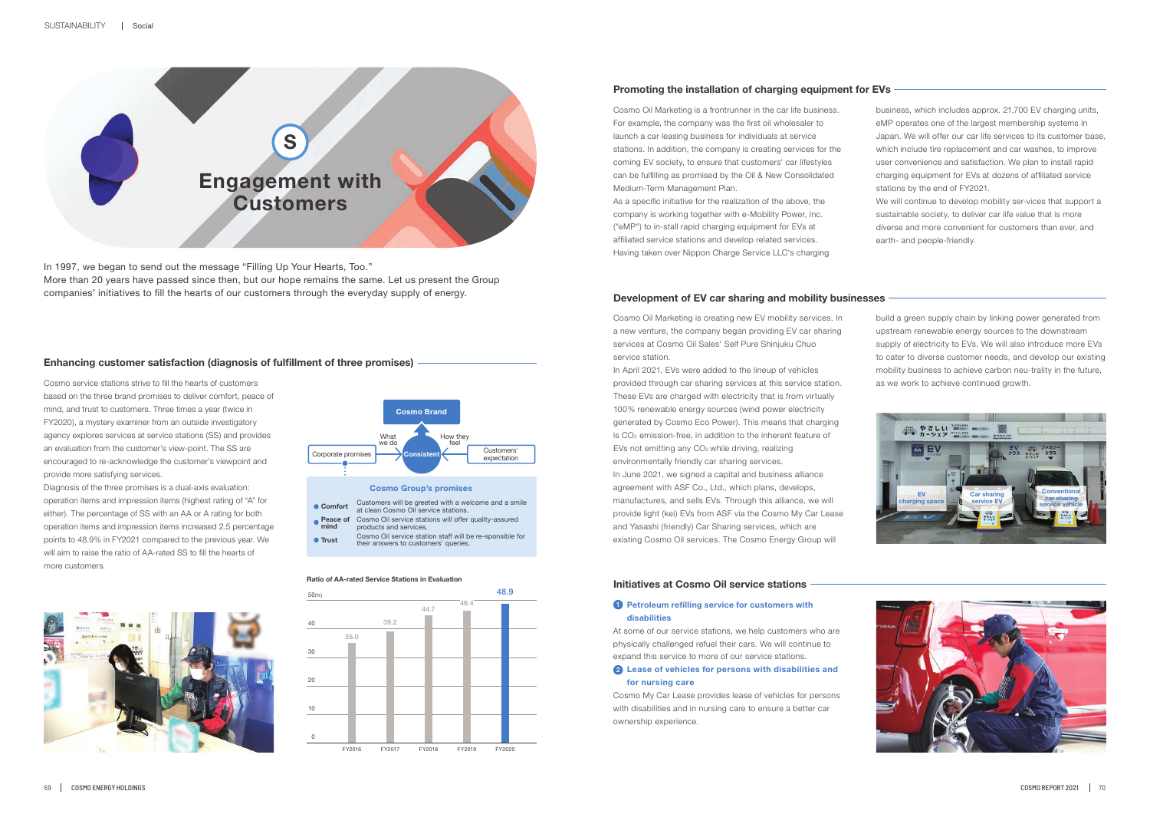

#### **Ratio of AA-rated Service Stations in Evaluation**



In 1997, we began to send out the message "Filling Up Your Hearts, Too." More than 20 years have passed since then, but our hope remains the same. Let us present the Group companies' initiatives to fill the hearts of our customers through the everyday supply of energy.

## **Enhancing customer satisfaction (diagnosis of fulfillment of three promises)**





Cosmo service stations strive to fill the hearts of customers based on the three brand promises to deliver comfort, peace of mind, and trust to customers. Three times a year (twice in FY2020), a mystery examiner from an outside investigatory agency explores services at service stations (SS) and provides an evaluation from the customer's view-point. The SS are encouraged to re-acknowledge the customer's viewpoint and provide more satisfying services.

Diagnosis of the three promises is a dual-axis evaluation: operation items and impression items (highest rating of "A" for either). The percentage of SS with an AA or A rating for both operation items and impression items increased 2.5 percentage points to 48.9% in FY2021 compared to the previous year. We will aim to raise the ratio of AA-rated SS to fill the hearts of more customers.



As a specific initiative for the realization of the above, the company is working together with e-Mobility Power, Inc. ("eMP") to in-stall rapid charging equipment for EVs at affiliated service stations and develop related services. Having taken over Nippon Charge Service LLC's charging



**Comfort** Customers will be greeted with a welcome and a smile at clean Cosmo Oil service stations.

- Peace of Cosmo Oil service stations will offer quality-assured **mind** products and services.
- **Trust** Cosmo Oil service station staff will be re-sponsible for their answers to customers' queries

## **Promoting the installation of charging equipment for EVs**

## **Development of EV car sharing and mobility businesses**

## **Initiatives at Cosmo Oil service stations**

We will continue to develop mobility ser-vices that support a sustainable society, to deliver car life value that is more diverse and more convenient for customers than ever, and earth- and people-friendly.

Cosmo Oil Marketing is a frontrunner in the car life business. For example, the company was the first oil wholesaler to launch a car leasing business for individuals at service stations. In addition, the company is creating services for the coming EV society, to ensure that customers' car lifestyles can be fulfilling as promised by the Oil & New Consolidated Medium-Term Management Plan.

## **1** Petroleum refilling service for customers with **disabilities**

Cosmo Oil Marketing is creating new EV mobility services. In a new venture, the company began providing EV car sharing services at Cosmo Oil Sales' Self Pure Shinjuku Chuo service station.

In April 2021, EVs were added to the lineup of vehicles provided through car sharing services at this service station. These EVs are charged with electricity that is from virtually 100% renewable energy sources (wind power electricity generated by Cosmo Eco Power). This means that charging is CO<sub>2</sub> emission-free, in addition to the inherent feature of EVs not emitting any  $CO<sub>2</sub>$  while driving, realizing environmentally friendly car sharing services. In June 2021, we signed a capital and business alliance agreement with ASF Co., Ltd., which plans, develops, manufactures, and sells EVs. Through this alliance, we will provide light (kei) EVs from ASF via the Cosmo My Car Lease and Yasashi (friendly) Car Sharing services, which are existing Cosmo Oil services. The Cosmo Energy Group will

business, which includes approx. 21,700 EV charging units, eMP operates one of the largest membership systems in Japan. We will offer our car life services to its customer base, which include tire replacement and car washes, to improve user convenience and satisfaction. We plan to install rapid charging equipment for EVs at dozens of affiliated service stations by the end of FY2021.

build a green supply chain by linking power generated from upstream renewable energy sources to the downstream supply of electricity to EVs. We will also introduce more EVs to cater to diverse customer needs, and develop our existing mobility business to achieve carbon neu-trality in the future, as we work to achieve continued growth.

At some of our service stations, we help customers who are physically challenged refuel their cars. We will continue to expand this service to more of our service stations.

## **Lease of vehicles for persons with disabilities and**  2 **for nursing care**

Cosmo My Car Lease provides lease of vehicles for persons with disabilities and in nursing care to ensure a better car ownership experience.